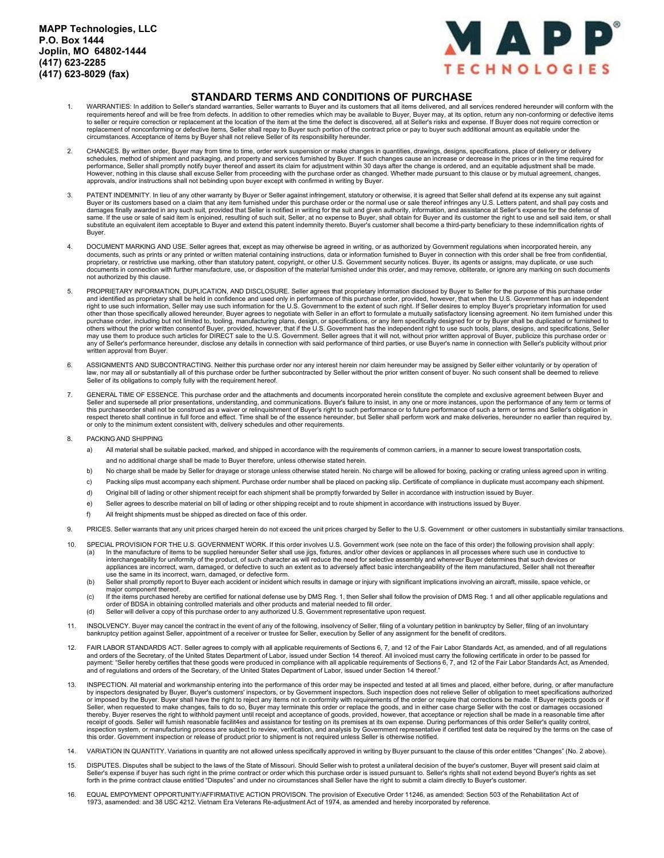

### **STANDARD TERMS AND CONDITIONS OF PURCHASE**

- 1. WARRANTIES: In addition to Seller's standard warranties, Seller warrants to Buyer and its customers that all items delivered, and all services rendered hereunder will conform with the requirements hereof and will be free from defects. In addition to other remedies which may be available to Buyer, Buyer may, at its option, return any non-conforming or defective items to seller or require correction or replacement at the location of the item at the time the defect is discovered, all at Seller's risks and expense. If Buyer does not require correction or<br>replacement of nonconforming or de circumstances. Acceptance of items by Buyer shall not relieve Seller of its responsibility hereunder.
- CHANGES. By written order, Buyer may from time to time, order work suspension or make changes in quantities, drawings, designs, specifications, place of delivery or delivery<br>schedules, method of shipment and packaging, and approvals, and/or instructions shall not bebinding upon buyer except with confirmed in writing by Buyer.
- 3. PATENT INDEMNITY. In lieu of any other warranty by Buyer or Seller against infringement, statutory or otherwise, it is agreed that Seller shall defend at its expense any suit against Buyer or its customers based on a claim that any item furnished under this purchase order or the normal use or sale thereof infringes any U.S. Letters patent, and shall pay costs and damages finally awarded in any such suit, provided that Seller is notified in writing for the suit and given authority, information, and assistance at Seller's expense for the defense of<br>same. If the use or sale of said it substitute an equivalent item acceptable to Buyer and extend this patent indemnity thereto. Buyer's customer shall become a third-party beneficiary to these indemnification rights of Buyer.
- 4. DOCUMENT MARKING AND USE. Seller agrees that, except as may otherwise be agreed in writing, or as authorized by Government regulations when incorporated herein, any printed or written material containing instructions, d proprietary, or restrictive use marking, other than statutory patent, copyright, or other U.S. Government security notices. Buyer, its agents or assigns, may duplicate, or use such documents in connection with further manufacture, use, or disposition of the material furnished under this order, and may remove, obliterate, or ignore any marking on such documents not authorized by this clause.
- 5. PROPRIETARY INFORMATION, DUPLICATION, AND DISCLOSURE. Seller agrees that proprietary information disclosed by Buyer to Seller for the purpose of this purchase order and identified as proprietary shall be held in confidence and used only in performance of this purchase order, provided, however, that when the U.S. Government has an independent<br>right to use such information, Seller may u other than those specifically allowed hereunder, Buyer agrees to negotiate with Seller in an effort to formulate a mutually satisfactory licensing agreement. No item furnished under this<br>purchase order, including but not l any of Seller's performance hereunder, disclose any details in connection with said performance of third parties, or use Buyer's name in connection with Seller's publicity without prior written approval from Buyer.
- 6. ASSIGNMENTS AND SUBCONTRACTING. Neither this purchase order nor any interest herein nor claim hereunder may be assigned by Seller either voluntarily or by operation of law, nor may all or substantially all of this purchase order be further subcontracted by Seller without the prior written consent of buyer. No such consent shall be deemed to relieve<br>Seller of its obligations to comply ful
- 7. GENERAL TIME OF ESSENCE. This purchase order and the attachments and documents incorporated herein constitute the complete and exclusive agreement between Buyer and Seller and supersede all prior presentations, understanding, and communications. Buyer's failure to insist, in any one or more instances, upon the performance of any term or terms of<br>this purchaseorder shall not be constru respect thereto shall continue in full force and effect. Time shall be of the essence hereunder, but Seller shall perform work and make deliveries, hereunder no earlier than required by, or only to the minimum extent consistent with, delivery schedules and other requirements.
- 8. PACKING AND SHIPPING
	- a) All material shall be suitable packed, marked, and shipped in accordance with the requirements of common carriers, in a manner to secure lowest transportation costs, and no additional charge shall be made to Buyer therefore, unless otherwise stated herein.
	- b) No charge shall be made by Seller for drayage or storage unless otherwise stated herein. No charge will be allowed for boxing, packing or crating unless agreed upon in writing.
	- c) Packing slips must accompany each shipment. Purchase order number shall be placed on packing slip. Certificate of compliance in duplicate must accompany each shipment.
	- d) Original bill of lading or other shipment receipt for each shipment shall be promptly forwarded by Seller in accordance with instruction issued by Buyer.
	- e) Seller agrees to describe material on bill of lading or other shipping receipt and to route shipment in accordance with instructions issued by Buyer.
	- f) All freight shipments must be shipped as directed on face of this order.
- 9. PRICES. Seller warrants that any unit prices charged herein do not exceed the unit prices charged by Seller to the U.S. Government or other customers in substantially similar transactions.
- 10. SPECIAL PROVISION FOR THE U.S. GOVERNMENT WORK. If this order involves U.S. Government work (see note on the face of this order) the following provision shall apply:<br>(a) In the manufacture of items to be supplied hereu In the manufacture of items to be supplied hereunder Seller shall use jigs, fixtures, and/or other devices or appliances in all processes where such use in conductive to interchangeability for uniformity of the product, of such character as will reduce the need for selective assembly and wherever Buyer determines that such devices or appliances are incorrect, warn, damaged, or defective to such an extent as to adversely affect basic interchangeability of the item manufactured, Seller shall not thereafter use the same in its incorrect, warn, damaged, or defective form.
	- (b) Seller shall promptly report to Buyer each accident or incident which results in damage or injury with significant implications involving an aircraft, missile, space vehicle, or major component thereof.
	- (c) If the items purchased hereby are certified for national defense use by DMS Reg. 1, then Seller shall follow the provision of DMS Reg. 1 and all other applicable regulations and order of BDSA in obtaining controlled materials and other products and material needed to fill order.
	- Seller will deliver a copy of this purchase order to any authorized U.S. Government representative upon request
- 11. INSOLVENCY. Buyer may cancel the contract in the event of any of the following, insolvency of Seller, filing of a voluntary petition in bankruptcy by Seller, filing of an involuntary bankruptcy petition against Seller, appointment of a receiver or trustee for Seller, execution by Seller of any assignment for the benefit of creditors.
- 12. FAIR LABOR STANDARDS ACT. Seller agrees to comply with all applicable requirements of Sections 6, 7, and 12 of the Fair Labor Standards Act, as amended, and of all regulations and orders of the Secretary, of the United States Department of Labor, issued under Section 14 thereof. All invoiced must carry the following certificate in order to be passed for payment: "Seller hereby certifies that these goods were produced in compliance with all applicable requirements of Sections 6, 7, and 12 of the Fair Labor Standards Act, as Amended, and of regulations and orders of the Secretary, of the United States Department of Labor, issued under Section 14 thereof."
- 13. INSPECTION. All material and workmanship entering into the performance of this order may be inspected and tested at all times and placed, either before, during, or after manufacture<br>by inspectors designated by Buyer, B or imposed by the Buyer. Buyer shall have the right to reject any items not in conformity with requirements of the order or require that corrections be made. If Buyer rejects goods or if<br>Seller, when requested to make chan thereby. Buyer reserves the right to withhold payment until receipt and acceptance of goods, provided, however, that acceptance or rejection shall be made in a reasonable time after receipt of goods. Seller will furnish reasonable facilit4es and assistance for testing on its premises at its own expense. During performances of this order Seller's quality control,<br>inspection system, or manufacturing pro this order. Government inspection or release of product prior to shipment is not required unless Seller is otherwise notified.
- 14. VARIATION IN QUANTITY. Variations in quantity are not allowed unless specifically approved in writing by Buyer pursuant to the clause of this order entitles "Changes" (No. 2 above).
- 15. DISPUTES. Disputes shall be subject to the laws of the State of Missouri. Should Seller wish to protest a unilateral decision of the buyer's customer, Buyer will present said claim at<br>Seller's expense if buyer has such forth in the prime contract clause entitled "Disputes" and under no circumstances shall Seller have the right to submit a claim directly to Buyer's customer.
- 16. EQUAL EMPOYMENT OPPORTUNITY/AFFIRMATIVE ACTION PROVISON. The provision of Executive Order 11246, as amended: Section 503 of the Rehabilitation Act of<br>1973, asamended: and 38 USC 4212. Vietnam Era Veterans Re-adjustment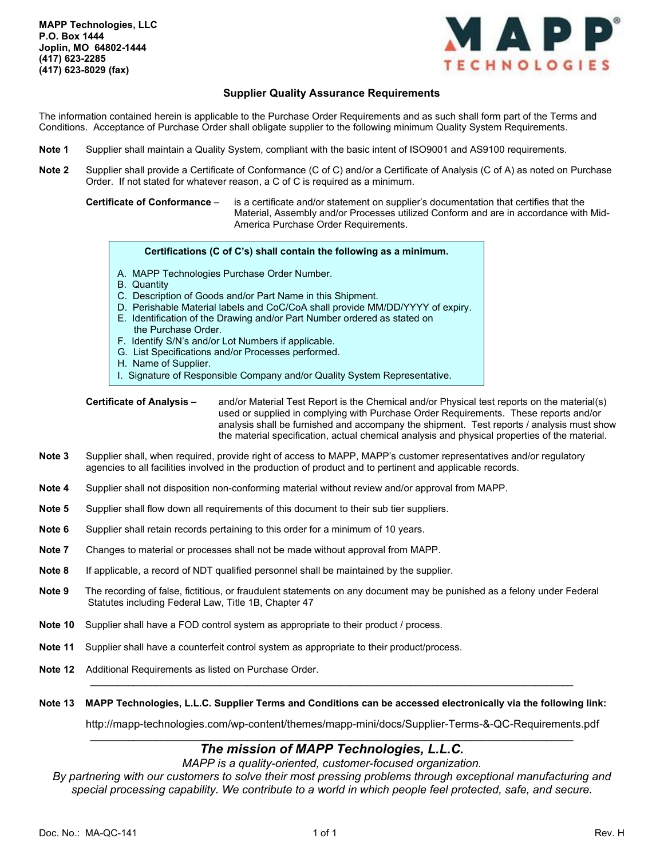

# **Supplier Quality Assurance Requirements**

The information contained herein is applicable to the Purchase Order Requirements and as such shall form part of the Terms and Conditions. Acceptance of Purchase Order shall obligate supplier to the following minimum Quality System Requirements.

- **Note 1** Supplier shall maintain a Quality System, compliant with the basic intent of ISO9001 and AS9100 requirements.
- **Note 2** Supplier shall provide a Certificate of Conformance (C of C) and/or a Certificate of Analysis (C of A) as noted on Purchase Order. If not stated for whatever reason, a C of C is required as a minimum.

**Certificate of Conformance** – is a certificate and/or statement on supplier's documentation that certifies that the Material, Assembly and/or Processes utilized Conform and are in accordance with Mid-America Purchase Order Requirements.

#### **Certifications (C of C's) shall contain the following as a minimum.**

- A. MAPP Technologies Purchase Order Number.
- B. Quantity
- C. Description of Goods and/or Part Name in this Shipment.
- D. Perishable Material labels and CoC/CoA shall provide MM/DD/YYYY of expiry.
- E. Identification of the Drawing and/or Part Number ordered as stated on the Purchase Order.
- F. Identify S/N's and/or Lot Numbers if applicable.
- G. List Specifications and/or Processes performed.
- H. Name of Supplier.
- I. Signature of Responsible Company and/or Quality System Representative.

- **Note 3** Supplier shall, when required, provide right of access to MAPP, MAPP's customer representatives and/or regulatory agencies to all facilities involved in the production of product and to pertinent and applicable records.
- **Note 4** Supplier shall not disposition non-conforming material without review and/or approval from MAPP.
- **Note 5** Supplier shall flow down all requirements of this document to their sub tier suppliers.
- **Note 6** Supplier shall retain records pertaining to this order for a minimum of 10 years.
- **Note 7** Changes to material or processes shall not be made without approval from MAPP.
- **Note 8** If applicable, a record of NDT qualified personnel shall be maintained by the supplier.
- **Note 9** The recording of false, fictitious, or fraudulent statements on any document may be punished as a felony under Federal Statutes including Federal Law, Title 1B, Chapter 47
- **Note 10** Supplier shall have a FOD control system as appropriate to their product / process.
- **Note 11** Supplier shall have a counterfeit control system as appropriate to their product/process.
- **Note 12** Additional Requirements as listed on Purchase Order.
- **Note 13 MAPP Technologies, L.L.C. Supplier Terms and Conditions can be accessed electronically via the following link:**

 $\mathcal{L}_\mathcal{L} = \{ \mathcal{L}_\mathcal{L} = \{ \mathcal{L}_\mathcal{L} = \{ \mathcal{L}_\mathcal{L} = \{ \mathcal{L}_\mathcal{L} = \{ \mathcal{L}_\mathcal{L} = \{ \mathcal{L}_\mathcal{L} = \{ \mathcal{L}_\mathcal{L} = \{ \mathcal{L}_\mathcal{L} = \{ \mathcal{L}_\mathcal{L} = \{ \mathcal{L}_\mathcal{L} = \{ \mathcal{L}_\mathcal{L} = \{ \mathcal{L}_\mathcal{L} = \{ \mathcal{L}_\mathcal{L} = \{ \mathcal{L}_\mathcal{$ 

http://mapp-technologies.com/wp-content/themes/mapp-mini/docs/Supplier-Terms-&-QC-Requirements.pdf

### $\mathcal{L}_\mathcal{L} = \{ \mathcal{L}_\mathcal{L} = \{ \mathcal{L}_\mathcal{L} = \{ \mathcal{L}_\mathcal{L} = \{ \mathcal{L}_\mathcal{L} = \{ \mathcal{L}_\mathcal{L} = \{ \mathcal{L}_\mathcal{L} = \{ \mathcal{L}_\mathcal{L} = \{ \mathcal{L}_\mathcal{L} = \{ \mathcal{L}_\mathcal{L} = \{ \mathcal{L}_\mathcal{L} = \{ \mathcal{L}_\mathcal{L} = \{ \mathcal{L}_\mathcal{L} = \{ \mathcal{L}_\mathcal{L} = \{ \mathcal{L}_\mathcal{$ *The mission of MAPP Technologies, L.L.C.*

*MAPP is a quality-oriented, customer-focused organization.*

*By partnering with our customers to solve their most pressing problems through exceptional manufacturing and special processing capability. We contribute to a world in which people feel protected, safe, and secure.*

**Certificate of Analysis –** and/or Material Test Report is the Chemical and/or Physical test reports on the material(s) used or supplied in complying with Purchase Order Requirements. These reports and/or analysis shall be furnished and accompany the shipment. Test reports / analysis must show the material specification, actual chemical analysis and physical properties of the material.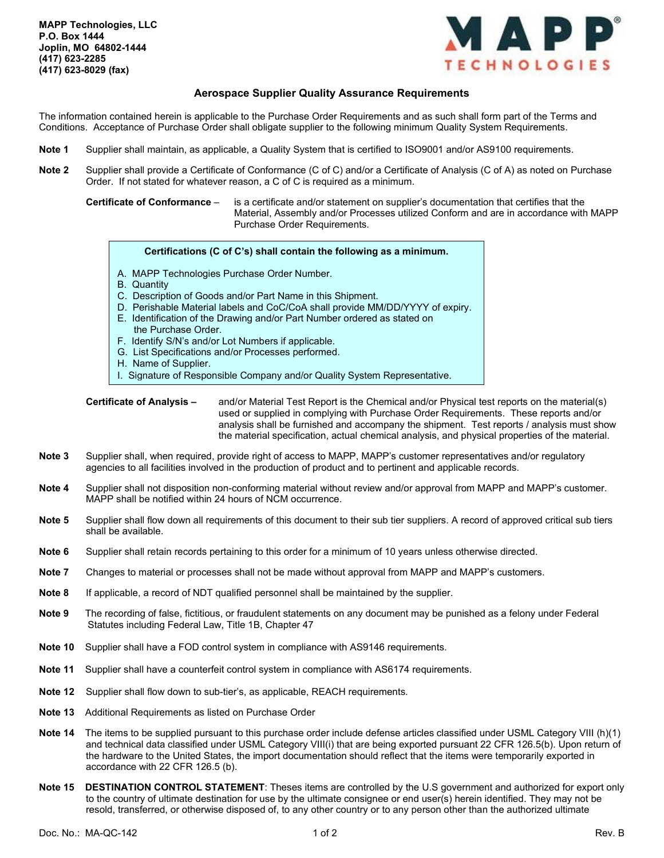

## **Aerospace Supplier Quality Assurance Requirements**

The information contained herein is applicable to the Purchase Order Requirements and as such shall form part of the Terms and Conditions. Acceptance of Purchase Order shall obligate supplier to the following minimum Quality System Requirements.

- **Note 1** Supplier shall maintain, as applicable, a Quality System that is certified to ISO9001 and/or AS9100 requirements.
- **Note 2** Supplier shall provide a Certificate of Conformance (C of C) and/or a Certificate of Analysis (C of A) as noted on Purchase Order. If not stated for whatever reason, a C of C is required as a minimum.

**Certificate of Conformance** – is a certificate and/or statement on supplier's documentation that certifies that the Material, Assembly and/or Processes utilized Conform and are in accordance with MAPP Purchase Order Requirements.

### **Certifications (C of C's) shall contain the following as a minimum.**

- A. MAPP Technologies Purchase Order Number.
- B. Quantity
- C. Description of Goods and/or Part Name in this Shipment.
- D. Perishable Material labels and CoC/CoA shall provide MM/DD/YYYY of expiry.
- E. Identification of the Drawing and/or Part Number ordered as stated on the Purchase Order.
- F. Identify S/N's and/or Lot Numbers if applicable.
- G. List Specifications and/or Processes performed.
- H. Name of Supplier.
- I. Signature of Responsible Company and/or Quality System Representative.

- **Note 3** Supplier shall, when required, provide right of access to MAPP, MAPP's customer representatives and/or regulatory agencies to all facilities involved in the production of product and to pertinent and applicable records.
- **Note 4** Supplier shall not disposition non-conforming material without review and/or approval from MAPP and MAPP's customer. MAPP shall be notified within 24 hours of NCM occurrence.
- **Note 5** Supplier shall flow down all requirements of this document to their sub tier suppliers. A record of approved critical sub tiers shall be available.
- **Note 6** Supplier shall retain records pertaining to this order for a minimum of 10 years unless otherwise directed.
- **Note 7** Changes to material or processes shall not be made without approval from MAPP and MAPP's customers.
- **Note 8** If applicable, a record of NDT qualified personnel shall be maintained by the supplier.
- **Note 9** The recording of false, fictitious, or fraudulent statements on any document may be punished as a felony under Federal Statutes including Federal Law, Title 1B, Chapter 47
- **Note 10** Supplier shall have a FOD control system in compliance with AS9146 requirements.
- **Note 11** Supplier shall have a counterfeit control system in compliance with AS6174 requirements.
- **Note 12** Supplier shall flow down to sub-tier's, as applicable, REACH requirements.
- **Note 13** Additional Requirements as listed on Purchase Order
- **Note 14** The items to be supplied pursuant to this purchase order include defense articles classified under USML Category VIII (h)(1) and technical data classified under USML Category VIII(i) that are being exported pursuant 22 CFR 126.5(b). Upon return of the hardware to the United States, the import documentation should reflect that the items were temporarily exported in accordance with 22 CFR 126.5 (b).
- **Note 15 DESTINATION CONTROL STATEMENT**: Theses items are controlled by the U.S government and authorized for export only to the country of ultimate destination for use by the ultimate consignee or end user(s) herein identified. They may not be resold, transferred, or otherwise disposed of, to any other country or to any person other than the authorized ultimate

**Certificate of Analysis –** and/or Material Test Report is the Chemical and/or Physical test reports on the material(s) used or supplied in complying with Purchase Order Requirements. These reports and/or analysis shall be furnished and accompany the shipment. Test reports / analysis must show the material specification, actual chemical analysis, and physical properties of the material.